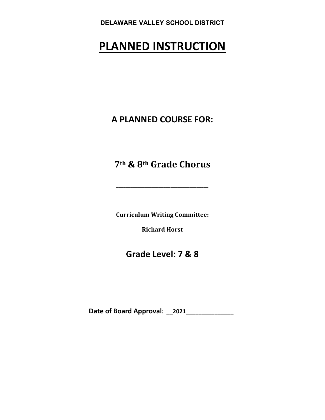# **PLANNED INSTRUCTION**

**A PLANNED COURSE FOR:**

**7th & 8th Grade Chorus**

**\_\_\_\_\_\_\_\_\_\_\_\_\_\_\_\_\_\_\_\_\_\_\_\_\_\_\_\_\_\_\_\_\_\_\_\_\_\_\_**

**Curriculum Writing Committee:**

**Richard Horst**

**Grade Level: 7 & 8** 

**Date of Board Approval: \_\_2021\_\_\_\_\_\_\_\_\_\_\_\_\_\_\_**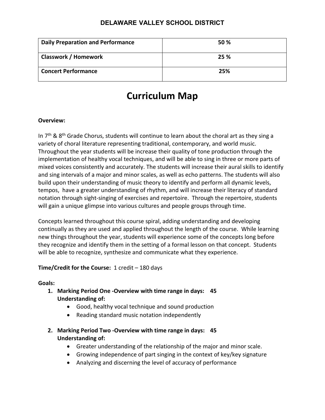| <b>Daily Preparation and Performance</b> | 50 % |
|------------------------------------------|------|
| <b>Classwork / Homework</b>              | 25 % |
| <b>Concert Performance</b>               | 25%  |

# **Curriculum Map**

#### **Overview:**

In  $7<sup>th</sup>$  & 8<sup>th</sup> Grade Chorus, students will continue to learn about the choral art as they sing a variety of choral literature representing traditional, contemporary, and world music. Throughout the year students will be increase their quality of tone production through the implementation of healthy vocal techniques, and will be able to sing in three or more parts of mixed voices consistently and accurately. The students will increase their aural skills to identify and sing intervals of a major and minor scales, as well as echo patterns. The students will also build upon their understanding of music theory to identify and perform all dynamic levels, tempos, have a greater understanding of rhythm, and will increase their literacy of standard notation through sight-singing of exercises and repertoire. Through the repertoire, students will gain a unique glimpse into various cultures and people groups through time.

Concepts learned throughout this course spiral, adding understanding and developing continually as they are used and applied throughout the length of the course. While learning new things throughout the year, students will experience some of the concepts long before they recognize and identify them in the setting of a formal lesson on that concept. Students will be able to recognize, synthesize and communicate what they experience.

#### **Time/Credit for the Course:** 1 credit – 180 days

#### **Goals:**

- **1. Marking Period One -Overview with time range in days: 45 Understanding of:**
	- Good, healthy vocal technique and sound production
	- Reading standard music notation independently
- **2. Marking Period Two -Overview with time range in days: 45 Understanding of:**
	- Greater understanding of the relationship of the major and minor scale.
	- Growing independence of part singing in the context of key/key signature
	- Analyzing and discerning the level of accuracy of performance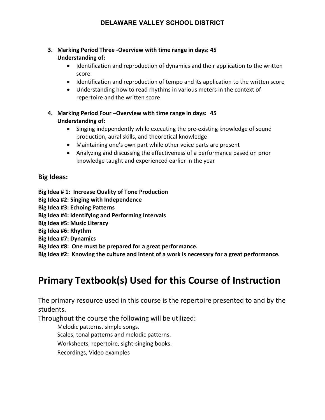#### **3. Marking Period Three -Overview with time range in days: 45 Understanding of:**

- Identification and reproduction of dynamics and their application to the written score
- Identification and reproduction of tempo and its application to the written score
- Understanding how to read rhythms in various meters in the context of repertoire and the written score
- **4. Marking Period Four –Overview with time range in days: 45 Understanding of:**
	- Singing independently while executing the pre-existing knowledge of sound production, aural skills, and theoretical knowledge
	- Maintaining one's own part while other voice parts are present
	- Analyzing and discussing the effectiveness of a performance based on prior knowledge taught and experienced earlier in the year

# **Big Ideas:**

**Big Idea # 1: Increase Quality of Tone Production**

- **Big Idea #2: Singing with Independence**
- **Big Idea #3: Echoing Patterns**
- **Big Idea #4: Identifying and Performing Intervals**
- **Big Idea #5: Music Literacy**
- **Big Idea #6: Rhythm**
- **Big Idea #7: Dynamics**
- **Big Idea #8: One must be prepared for a great performance.**

**Big Idea #2: Knowing the culture and intent of a work is necessary for a great performance.**

# **Primary Textbook(s) Used for this Course of Instruction**

The primary resource used in this course is the repertoire presented to and by the students.

Throughout the course the following will be utilized:

Melodic patterns, simple songs.

Scales, tonal patterns and melodic patterns.

Worksheets, repertoire, sight-singing books.

Recordings, Video examples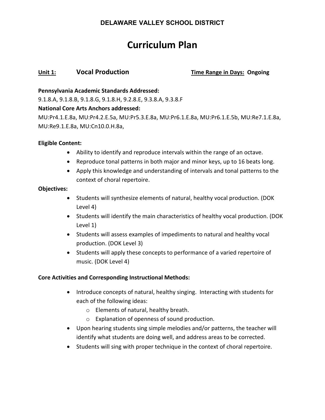# **Curriculum Plan**

#### **Unit 1: Vocal Production Time Range in Days: Ongoing**

#### **Pennsylvania Academic Standards Addressed:**

9.1.8.A, 9.1.8.B, 9.1.8.G, 9.1.8.H, 9.2.8.E, 9.3.8.A, 9.3.8.F

#### **National Core Arts Anchors addressed:**

MU:Pr4.1.E.8a, MU:Pr4.2.E.5a, MU:Pr5.3.E.8a, MU:Pr6.1.E.8a, MU:Pr6.1.E.5b, MU:Re7.1.E.8a, MU:Re9.1.E.8a, MU:Cn10.0.H.8a,

#### **Eligible Content:**

- Ability to identify and reproduce intervals within the range of an octave.
- Reproduce tonal patterns in both major and minor keys, up to 16 beats long.
- Apply this knowledge and understanding of intervals and tonal patterns to the context of choral repertoire.

#### **Objectives:**

- Students will synthesize elements of natural, healthy vocal production. (DOK Level 4)
- Students will identify the main characteristics of healthy vocal production. (DOK Level 1)
- Students will assess examples of impediments to natural and healthy vocal production. (DOK Level 3)
- Students will apply these concepts to performance of a varied repertoire of music. (DOK Level 4)

#### **Core Activities and Corresponding Instructional Methods:**

- Introduce concepts of natural, healthy singing. Interacting with students for each of the following ideas:
	- o Elements of natural, healthy breath.
	- o Explanation of openness of sound production.
- Upon hearing students sing simple melodies and/or patterns, the teacher will identify what students are doing well, and address areas to be corrected.
- Students will sing with proper technique in the context of choral repertoire.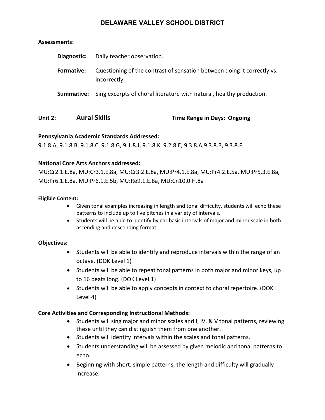#### **Assessments:**

| Diagnostic: | Daily teacher observation.                                                              |
|-------------|-----------------------------------------------------------------------------------------|
| Formative:  | Questioning of the contrast of sensation between doing it correctly vs.<br>incorrectly. |
| Summative:  | Sing excerpts of choral literature with natural, healthy production.                    |

### **Unit 2: Aural Skills Time Range in Days: Ongoing**

#### **Pennsylvania Academic Standards Addressed:**

9.1.8.A, 9.1.8.B, 9.1.8.C, 9.1.8.G, 9.1.8.J, 9.1.8.K, 9.2.8.E, 9.3.8.A,9.3.8.B, 9.3.8.F

#### **National Core Arts Anchors addressed:**

MU:Cr2.1.E.8a, MU:Cr3.1.E.8a, MU:Cr3.2.E.8a, MU:Pr4.1.E.8a, MU:Pr4.2.E.5a, MU:Pr5.3.E.8a, MU:Pr6.1.E.8a, MU:Pr6.1.E.5b, MU:Re9.1.E.8a, MU:Cn10.0.H.8a

#### **Eligible Content:**

- Given tonal examples increasing in length and tonal difficulty, students will echo these patterns to include up to five pitches in a variety of intervals.
- Students will be able to identify by ear basic intervals of major and minor scale in both ascending and descending format.

#### **Objectives:**

- Students will be able to identify and reproduce intervals within the range of an octave. (DOK Level 1)
- Students will be able to repeat tonal patterns in both major and minor keys, up to 16 beats long. (DOK Level 1)
- Students will be able to apply concepts in context to choral repertoire. (DOK Level 4)

#### **Core Activities and Corresponding Instructional Methods:**

- Students will sing major and minor scales and I, IV, & V tonal patterns, reviewing these until they can distinguish them from one another.
- Students will identify intervals within the scales and tonal patterns.
- Students understanding will be assessed by given melodic and tonal patterns to echo.
- Beginning with short, simple patterns, the length and difficulty will gradually increase.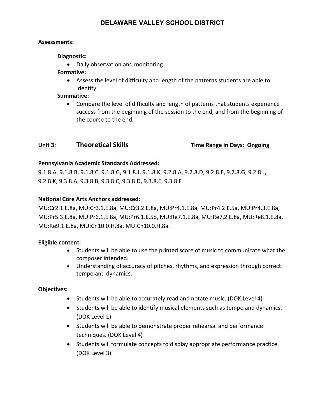#### **Assessments:**

#### **Diagnostic:**

• Daily observation and monitoring.

#### **Formative:**

• Assess the level of difficulty and length of the patterns students are able to identify.

#### **Summative:**

• Compare the level of difficulty and length of patterns that students experience success from the beginning of the session to the end, and from the beginning of the course to the end.

### **Unit 3: Theoretical Skills Time Range in Days: Ongoing**

#### **Pennsylvania Academic Standards Addressed:**

9.1.8.A, 9.1.8.B, 9.1.8.C, 9.1.8.G, 9.1.8.J, 9.1.8.K, 9.2.8.A, 9.2.8.D, 9.2.8.E, 9.2.8.G, 9.2.8.J, 9.2.8.K, 9.3.8.A, 9.3.8.B, 9.3.8.C, 9.3.8.D, 9.3.8.E, 9.3.8.F

#### **National Core Arts Anchors addressed:**

MU:Cr2.1.E.8a, MU:Cr3.1.E.8a, MU:Cr3.2.E.8a, MU:Pr4.1.E.8a, MU:Pr4.2.E.5a, MU:Pr4.3.E.8a, MU:Pr5.3.E.8a, MU:Pr6.1.E.8a, MU:Pr6.1.E.5b, MU:Re7.1.E.8a, MU:Re7.2.E.8a, MU:Re8.1.E.8a, MU:Re9.1.E.8a, MU:Cn10.0.H.8a, MU:Cn10.0.H.8a.

#### **Eligible content:**

- Students will be able to use the printed score of music to communicate what the composer intended.
- Understanding of accuracy of pitches, rhythms, and expression through correct tempo and dynamics.

#### **Objectives:**

- Students will be able to accurately read and notate music. (DOK Level 4)
- Students will be able to identify musical elements such as tempo and dynamics. (DOK Level 1)
- Students will be able to demonstrate proper rehearsal and performance techniques. (DOK Level 4)
- Students will formulate concepts to display appropriate performance practice. (DOK Level 3)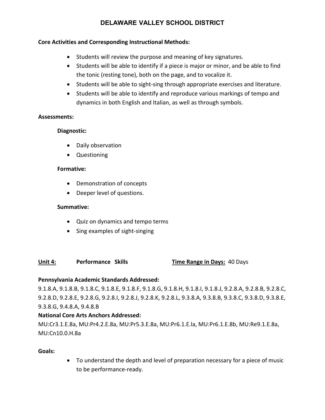#### **Core Activities and Corresponding Instructional Methods:**

- Students will review the purpose and meaning of key signatures.
- Students will be able to identify if a piece is major or minor, and be able to find the tonic (resting tone), both on the page, and to vocalize it.
- Students will be able to sight-sing through appropriate exercises and literature.
- Students will be able to identify and reproduce various markings of tempo and dynamics in both English and Italian, as well as through symbols.

#### **Assessments:**

#### **Diagnostic:**

- Daily observation
- Questioning

#### **Formative:**

- Demonstration of concepts
- Deeper level of questions.

#### **Summative:**

- Quiz on dynamics and tempo terms
- Sing examples of sight-singing

#### **Unit 4: Performance Skills Time Range in Days:** 40 Days

#### **Pennsylvania Academic Standards Addressed:**

9.1.8.A, 9.1.8.B, 9.1.8.C, 9.1.8.E, 9.1.8.F, 9.1.8.G, 9.1.8.H, 9.1.8.I, 9.1.8.J, 9.2.8.A, 9.2.8.B, 9.2.8.C, 9.2.8.D, 9.2.8.E, 9.2.8.G, 9.2.8.I, 9.2.8.J, 9.2.8.K, 9.2.8.L, 9.3.8.A, 9.3.8.B, 9.3.8.C, 9.3.8.D, 9.3.8.E, 9.3.8.G, 9.4.8.A, 9.4.8.B

#### **National Core Arts Anchors Addressed:**

MU:Cr3.1.E.8a, MU:Pr4.2.E.8a, MU:Pr5.3.E.8a, MU:Pr6.1.E.la, MU:Pr6.1.E.8b, MU:Re9.1.E.8a, MU:Cn10.0.H.8a

#### **Goals:**

• To understand the depth and level of preparation necessary for a piece of music to be performance-ready.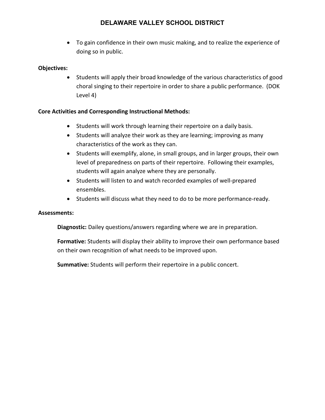• To gain confidence in their own music making, and to realize the experience of doing so in public.

#### **Objectives:**

• Students will apply their broad knowledge of the various characteristics of good choral singing to their repertoire in order to share a public performance. (DOK Level 4)

#### **Core Activities and Corresponding Instructional Methods:**

- Students will work through learning their repertoire on a daily basis.
- Students will analyze their work as they are learning; improving as many characteristics of the work as they can.
- Students will exemplify, alone, in small groups, and in larger groups, their own level of preparedness on parts of their repertoire. Following their examples, students will again analyze where they are personally.
- Students will listen to and watch recorded examples of well-prepared ensembles.
- Students will discuss what they need to do to be more performance-ready.

#### **Assessments:**

**Diagnostic:** Dailey questions/answers regarding where we are in preparation.

**Formative:** Students will display their ability to improve their own performance based on their own recognition of what needs to be improved upon.

**Summative:** Students will perform their repertoire in a public concert.